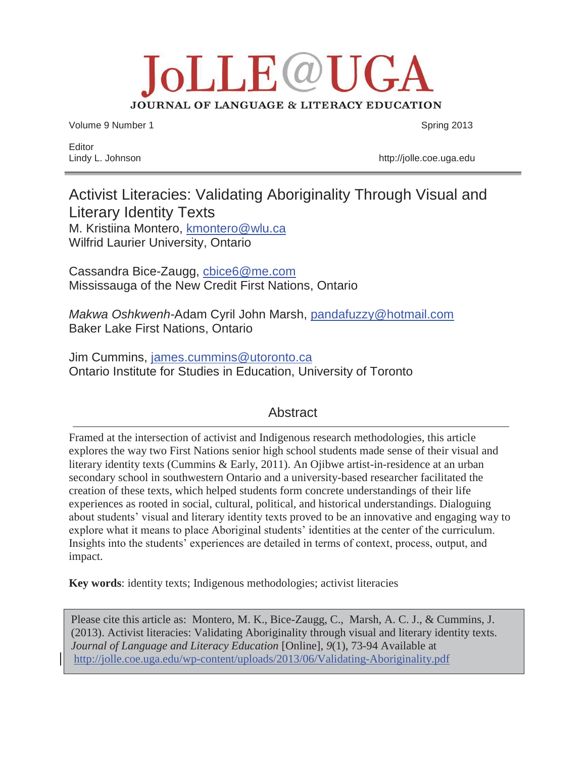# **JOLLE@UGA** JOURNAL OF LANGUAGE & LITERACY EDUCATION

Volume 9 Number 1 Spring 2013

Editor

Lindy L. Johnson http://jolle.coe.uga.edu

# Activist Literacies: Validating Aboriginality Through Visual and Literary Identity Texts M. Kristiina Montero, kmontero@wlu.ca Wilfrid Laurier University, Ontario

Cassandra Bice-Zaugg, cbice6@me.com Mississauga of the New Credit First Nations, Ontario

*Makwa Oshkwenh-*Adam Cyril John Marsh, pandafuzzy@hotmail.com Baker Lake First Nations, Ontario

Jim Cummins, james.cummins@utoronto.ca Ontario Institute for Studies in Education, University of Toronto

## **Abstract**

Framed at the intersection of activist and Indigenous research methodologies, this article explores the way two First Nations senior high school students made sense of their visual and literary identity texts (Cummins & Early, 2011). An Ojibwe artist-in-residence at an urban secondary school in southwestern Ontario and a university-based researcher facilitated the creation of these texts, which helped students form concrete understandings of their life experiences as rooted in social, cultural, political, and historical understandings. Dialoguing about students' visual and literary identity texts proved to be an innovative and engaging way to explore what it means to place Aboriginal students' identities at the center of the curriculum. Insights into the students' experiences are detailed in terms of context, process, output, and impact.

**Key words**: identity texts; Indigenous methodologies; activist literacies

Please cite this article as: Montero, M. K., Bice-Zaugg, C., Marsh, A. C. J., & Cummins, J. (2013). Activist literacies: Validating Aboriginality through visual and literary identity texts. *Journal of Language and Literacy Education* [Online], *9*(1), 73-94 Available at http://jolle.coe.uga.edu/wp-content/uploads/2013/06/Validating-Aboriginality.pdf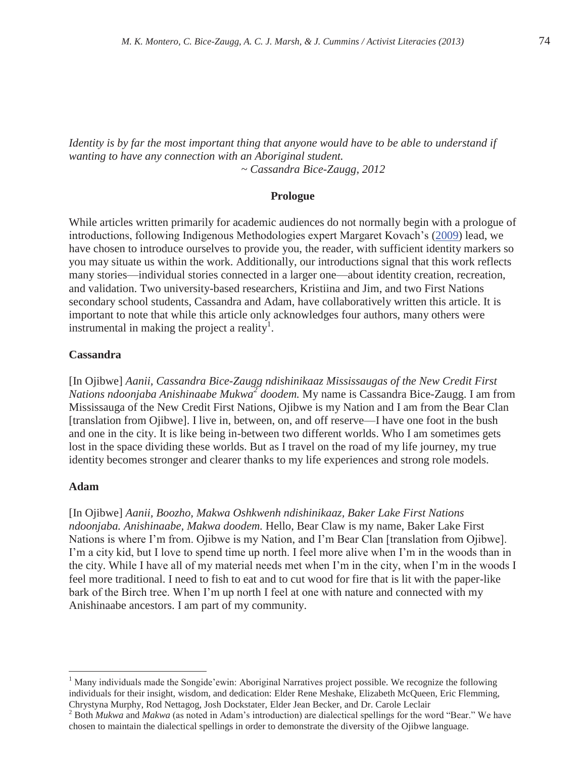*Identity is by far the most important thing that anyone would have to be able to understand if wanting to have any connection with an Aboriginal student. ~ Cassandra Bice-Zaugg, 2012* 

#### **Prologue**

While articles written primarily for academic audiences do not normally begin with a prologue of introductions, following Indigenous Methodologies expert Margaret Kovach's (2009) lead, we have chosen to introduce ourselves to provide you, the reader, with sufficient identity markers so you may situate us within the work. Additionally, our introductions signal that this work reflects many stories—individual stories connected in a larger one—about identity creation, recreation, and validation. Two university-based researchers, Kristiina and Jim, and two First Nations secondary school students, Cassandra and Adam, have collaboratively written this article. It is important to note that while this article only acknowledges four authors, many others were instrumental in making the project a reality<sup>1</sup>.

## **Cassandra**

[In Ojibwe] *Aanii, Cassandra Bice-Zaugg ndishinikaaz Mississaugas of the New Credit First Nations ndoonjaba Anishinaabe Mukwa<sup>2</sup> doodem.* My name is Cassandra Bice-Zaugg. I am from Mississauga of the New Credit First Nations, Ojibwe is my Nation and I am from the Bear Clan [translation from Ojibwe]. I live in, between, on, and off reserve—I have one foot in the bush and one in the city. It is like being in-between two different worlds. Who I am sometimes gets lost in the space dividing these worlds. But as I travel on the road of my life journey, my true identity becomes stronger and clearer thanks to my life experiences and strong role models.

#### **Adam**

 $\overline{a}$ 

[In Ojibwe] *Aanii, Boozho, Makwa Oshkwenh ndishinikaaz, Baker Lake First Nations ndoonjaba. Anishinaabe, Makwa doodem.* Hello, Bear Claw is my name, Baker Lake First Nations is where I'm from. Ojibwe is my Nation, and I'm Bear Clan [translation from Ojibwe]. I'm a city kid, but I love to spend time up north. I feel more alive when I'm in the woods than in the city. While I have all of my material needs met when I'm in the city, when I'm in the woods I feel more traditional. I need to fish to eat and to cut wood for fire that is lit with the paper-like bark of the Birch tree. When I'm up north I feel at one with nature and connected with my Anishinaabe ancestors. I am part of my community.

<sup>&</sup>lt;sup>1</sup> Many individuals made the Songide'ewin: Aboriginal Narratives project possible. We recognize the following individuals for their insight, wisdom, and dedication: Elder Rene Meshake, Elizabeth McQueen, Eric Flemming, Chrystyna Murphy, Rod Nettagog, Josh Dockstater, Elder Jean Becker, and Dr. Carole Leclair 2

<sup>&</sup>lt;sup>2</sup> Both *Mukwa* and *Makwa* (as noted in Adam's introduction) are dialectical spellings for the word "Bear." We have chosen to maintain the dialectical spellings in order to demonstrate the diversity of the Ojibwe language.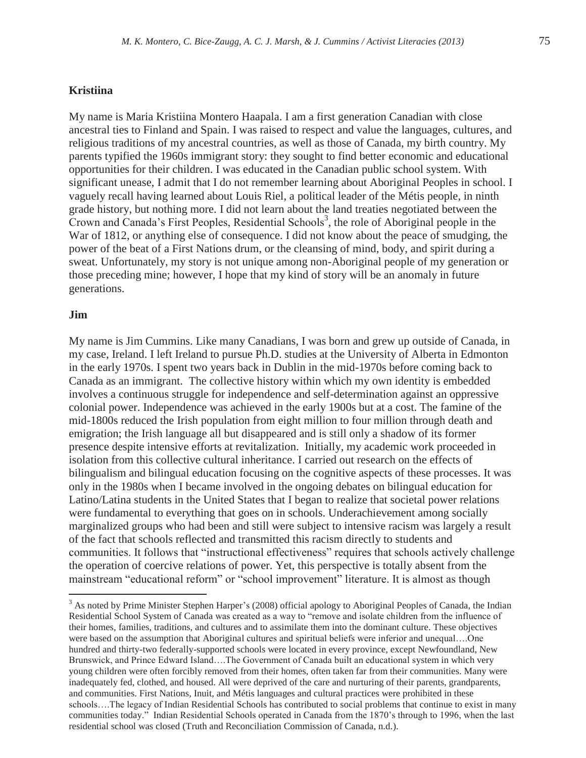## **Kristiina**

My name is Maria Kristiina Montero Haapala. I am a first generation Canadian with close ancestral ties to Finland and Spain. I was raised to respect and value the languages, cultures, and religious traditions of my ancestral countries, as well as those of Canada, my birth country. My parents typified the 1960s immigrant story: they sought to find better economic and educational opportunities for their children. I was educated in the Canadian public school system. With significant unease, I admit that I do not remember learning about Aboriginal Peoples in school. I vaguely recall having learned about Louis Riel, a political leader of the Métis people, in ninth grade history, but nothing more. I did not learn about the land treaties negotiated between the Crown and Canada's First Peoples, Residential Schools<sup>3</sup>, the role of Aboriginal people in the War of 1812, or anything else of consequence. I did not know about the peace of smudging, the power of the beat of a First Nations drum, or the cleansing of mind, body, and spirit during a sweat. Unfortunately, my story is not unique among non-Aboriginal people of my generation or those preceding mine; however, I hope that my kind of story will be an anomaly in future generations.

#### **Jim**

 $\overline{a}$ 

My name is Jim Cummins. Like many Canadians, I was born and grew up outside of Canada, in my case, Ireland. I left Ireland to pursue Ph.D. studies at the University of Alberta in Edmonton in the early 1970s. I spent two years back in Dublin in the mid-1970s before coming back to Canada as an immigrant. The collective history within which my own identity is embedded involves a continuous struggle for independence and self-determination against an oppressive colonial power. Independence was achieved in the early 1900s but at a cost. The famine of the mid-1800s reduced the Irish population from eight million to four million through death and emigration; the Irish language all but disappeared and is still only a shadow of its former presence despite intensive efforts at revitalization. Initially, my academic work proceeded in isolation from this collective cultural inheritance. I carried out research on the effects of bilingualism and bilingual education focusing on the cognitive aspects of these processes. It was only in the 1980s when I became involved in the ongoing debates on bilingual education for Latino/Latina students in the United States that I began to realize that societal power relations were fundamental to everything that goes on in schools. Underachievement among socially marginalized groups who had been and still were subject to intensive racism was largely a result of the fact that schools reflected and transmitted this racism directly to students and communities. It follows that "instructional effectiveness" requires that schools actively challenge the operation of coercive relations of power. Yet, this perspective is totally absent from the mainstream "educational reform" or "school improvement" literature. It is almost as though

<sup>&</sup>lt;sup>3</sup> As noted by Prime Minister Stephen Harper's (2008) official apology to Aboriginal Peoples of Canada, the Indian Residential School System of Canada was created as a way to "remove and isolate children from the influence of their homes, families, traditions, and cultures and to assimilate them into the dominant culture. These objectives were based on the assumption that Aboriginal cultures and spiritual beliefs were inferior and unequal….One hundred and thirty-two federally-supported schools were located in every province, except Newfoundland, New Brunswick, and Prince Edward Island….The Government of Canada built an educational system in which very young children were often forcibly removed from their homes, often taken far from their communities. Many were inadequately fed, clothed, and housed. All were deprived of the care and nurturing of their parents, grandparents, and communities. First Nations, Inuit, and Métis languages and cultural practices were prohibited in these schools….The legacy of Indian Residential Schools has contributed to social problems that continue to exist in many communities today." Indian Residential Schools operated in Canada from the 1870's through to 1996, when the last residential school was closed (Truth and Reconciliation Commission of Canada, n.d.).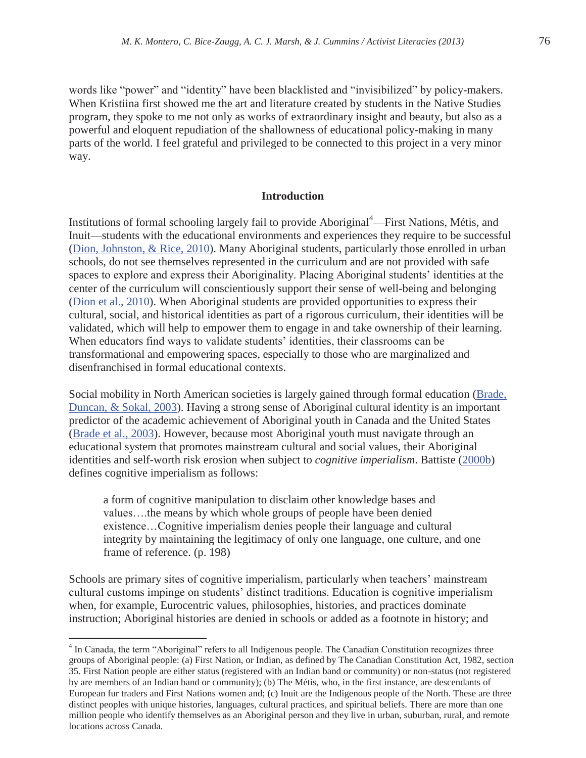words like "power" and "identity" have been blacklisted and "invisibilized" by policy-makers. When Kristiina first showed me the art and literature created by students in the Native Studies program, they spoke to me not only as works of extraordinary insight and beauty, but also as a powerful and eloquent repudiation of the shallowness of educational policy-making in many parts of the world. I feel grateful and privileged to be connected to this project in a very minor way.

## **Introduction**

Institutions of formal schooling largely fail to provide Aboriginal<sup>4</sup>—First Nations, Métis, and Inuit—students with the educational environments and experiences they require to be successful (Dion, Johnston, & Rice, 2010). Many Aboriginal students, particularly those enrolled in urban schools, do not see themselves represented in the curriculum and are not provided with safe spaces to explore and express their Aboriginality. Placing Aboriginal students' identities at the center of the curriculum will conscientiously support their sense of well-being and belonging (Dion et al., 2010). When Aboriginal students are provided opportunities to express their cultural, social, and historical identities as part of a rigorous curriculum, their identities will be validated, which will help to empower them to engage in and take ownership of their learning. When educators find ways to validate students' identities, their classrooms can be transformational and empowering spaces, especially to those who are marginalized and disenfranchised in formal educational contexts.

Social mobility in North American societies is largely gained through formal education (Brade, Duncan, & Sokal, 2003). Having a strong sense of Aboriginal cultural identity is an important predictor of the academic achievement of Aboriginal youth in Canada and the United States (Brade et al., 2003). However, because most Aboriginal youth must navigate through an educational system that promotes mainstream cultural and social values, their Aboriginal identities and self-worth risk erosion when subject to *cognitive imperialism*. Battiste (2000b) defines cognitive imperialism as follows:

a form of cognitive manipulation to disclaim other knowledge bases and values….the means by which whole groups of people have been denied existence…Cognitive imperialism denies people their language and cultural integrity by maintaining the legitimacy of only one language, one culture, and one frame of reference. (p. 198)

Schools are primary sites of cognitive imperialism, particularly when teachers' mainstream cultural customs impinge on students' distinct traditions. Education is cognitive imperialism when, for example, Eurocentric values, philosophies, histories, and practices dominate instruction; Aboriginal histories are denied in schools or added as a footnote in history; and

 $\overline{a}$ 

<sup>&</sup>lt;sup>4</sup> In Canada, the term "Aboriginal" refers to all Indigenous people. The Canadian Constitution recognizes three groups of Aboriginal people: (a) First Nation, or Indian, as defined by The Canadian Constitution Act, 1982, section 35. First Nation people are either status (registered with an Indian band or community) or non-status (not registered by are members of an Indian band or community); (b) The Métis, who, in the first instance, are descendants of European fur traders and First Nations women and; (c) Inuit are the Indigenous people of the North. These are three distinct peoples with unique histories, languages, cultural practices, and spiritual beliefs. There are more than one million people who identify themselves as an Aboriginal person and they live in urban, suburban, rural, and remote locations across Canada.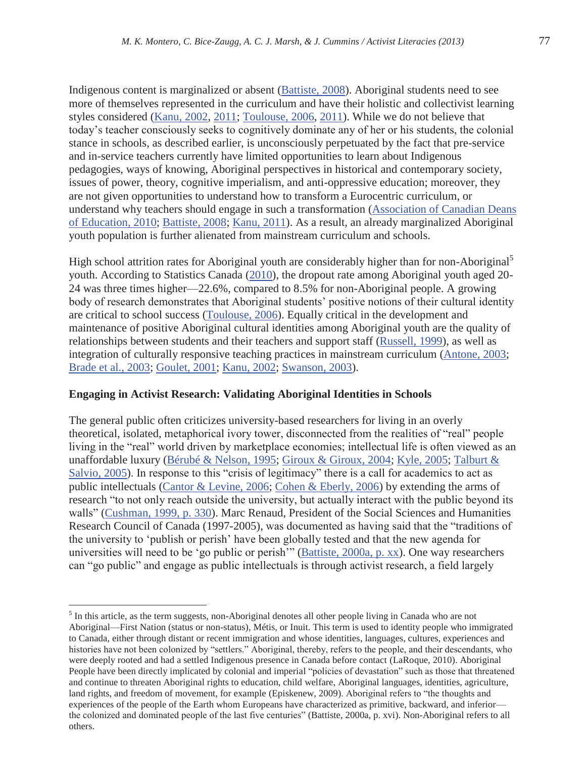Indigenous content is marginalized or absent (Battiste, 2008). Aboriginal students need to see more of themselves represented in the curriculum and have their holistic and collectivist learning styles considered (Kanu, 2002, 2011; Toulouse, 2006, 2011). While we do not believe that today's teacher consciously seeks to cognitively dominate any of her or his students, the colonial stance in schools, as described earlier, is unconsciously perpetuated by the fact that pre-service and in-service teachers currently have limited opportunities to learn about Indigenous pedagogies, ways of knowing, Aboriginal perspectives in historical and contemporary society, issues of power, theory, cognitive imperialism, and anti-oppressive education; moreover, they are not given opportunities to understand how to transform a Eurocentric curriculum, or understand why teachers should engage in such a transformation (Association of Canadian Deans of Education, 2010; Battiste, 2008; Kanu, 2011). As a result, an already marginalized Aboriginal youth population is further alienated from mainstream curriculum and schools.

High school attrition rates for Aboriginal youth are considerably higher than for non-Aboriginal<sup>5</sup> youth. According to Statistics Canada (2010), the dropout rate among Aboriginal youth aged 20- 24 was three times higher—22.6%, compared to 8.5% for non-Aboriginal people. A growing body of research demonstrates that Aboriginal students' positive notions of their cultural identity are critical to school success (Toulouse, 2006). Equally critical in the development and maintenance of positive Aboriginal cultural identities among Aboriginal youth are the quality of relationships between students and their teachers and support staff (Russell, 1999), as well as integration of culturally responsive teaching practices in mainstream curriculum (Antone, 2003; Brade et al., 2003; Goulet, 2001; Kanu, 2002; Swanson, 2003).

## **Engaging in Activist Research: Validating Aboriginal Identities in Schools**

The general public often criticizes university-based researchers for living in an overly theoretical, isolated, metaphorical ivory tower, disconnected from the realities of "real" people living in the "real" world driven by marketplace economies; intellectual life is often viewed as an unaffordable luxury (Bérubé & Nelson, 1995; Giroux & Giroux, 2004; Kyle, 2005; Talburt & Salvio, 2005). In response to this "crisis of legitimacy" there is a call for academics to act as public intellectuals (Cantor & Levine, 2006; Cohen & Eberly, 2006) by extending the arms of research "to not only reach outside the university, but actually interact with the public beyond its walls" (Cushman, 1999, p. 330). Marc Renaud, President of the Social Sciences and Humanities Research Council of Canada (1997-2005), was documented as having said that the "traditions of the university to 'publish or perish' have been globally tested and that the new agenda for universities will need to be 'go public or perish'" (Battiste, 2000a, p. xx). One way researchers can "go public" and engage as public intellectuals is through activist research, a field largely

 $\overline{a}$ <sup>5</sup> In this article, as the term suggests, non-Aboriginal denotes all other people living in Canada who are not Aboriginal—First Nation (status or non-status), Métis, or Inuit. This term is used to identity people who immigrated to Canada, either through distant or recent immigration and whose identities, languages, cultures, experiences and histories have not been colonized by "settlers." Aboriginal, thereby, refers to the people, and their descendants, who were deeply rooted and had a settled Indigenous presence in Canada before contact (LaRoque, 2010). Aboriginal People have been directly implicated by colonial and imperial "policies of devastation" such as those that threatened and continue to threaten Aboriginal rights to education, child welfare, Aboriginal languages, identities, agriculture, land rights, and freedom of movement, for example (Episkenew, 2009). Aboriginal refers to "the thoughts and experiences of the people of the Earth whom Europeans have characterized as primitive, backward, and inferior the colonized and dominated people of the last five centuries" (Battiste, 2000a, p. xvi). Non-Aboriginal refers to all others.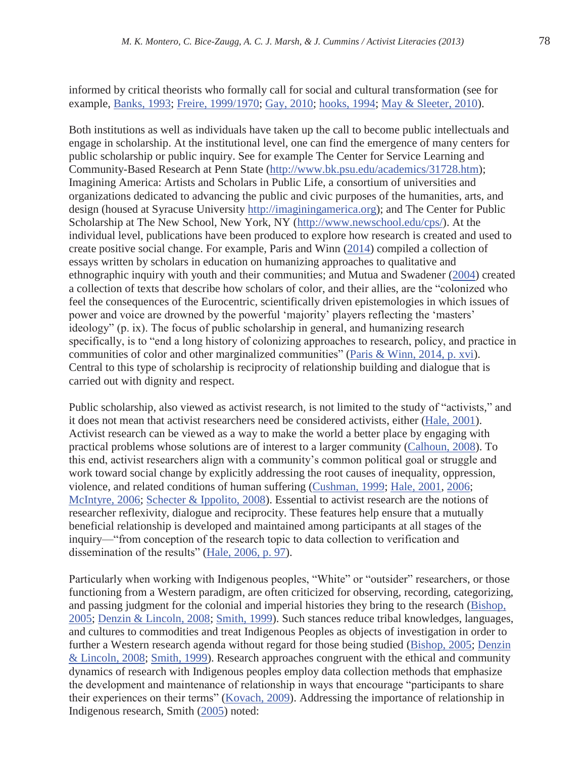informed by critical theorists who formally call for social and cultural transformation (see for example, Banks, 1993; Freire, 1999/1970; Gay, 2010; hooks, 1994; May & Sleeter, 2010).

Both institutions as well as individuals have taken up the call to become public intellectuals and engage in scholarship. At the institutional level, one can find the emergence of many centers for public scholarship or public inquiry. See for example The Center for Service Learning and Community-Based Research at Penn State (http://www.bk.psu.edu/academics/31728.htm); Imagining America: Artists and Scholars in Public Life, a consortium of universities and organizations dedicated to advancing the public and civic purposes of the humanities, arts, and design (housed at Syracuse University http://imaginingamerica.org); and The Center for Public Scholarship at The New School, New York, NY (http://www.newschool.edu/cps/). At the individual level, publications have been produced to explore how research is created and used to create positive social change. For example, Paris and Winn (2014) compiled a collection of essays written by scholars in education on humanizing approaches to qualitative and ethnographic inquiry with youth and their communities; and Mutua and Swadener (2004) created a collection of texts that describe how scholars of color, and their allies, are the "colonized who feel the consequences of the Eurocentric, scientifically driven epistemologies in which issues of power and voice are drowned by the powerful 'majority' players reflecting the 'masters' ideology" (p. ix). The focus of public scholarship in general, and humanizing research specifically, is to "end a long history of colonizing approaches to research, policy, and practice in communities of color and other marginalized communities" (Paris & Winn, 2014, p. xvi). Central to this type of scholarship is reciprocity of relationship building and dialogue that is carried out with dignity and respect.

Public scholarship, also viewed as activist research, is not limited to the study of "activists," and it does not mean that activist researchers need be considered activists, either (Hale, 2001). Activist research can be viewed as a way to make the world a better place by engaging with practical problems whose solutions are of interest to a larger community (Calhoun, 2008). To this end, activist researchers align with a community's common political goal or struggle and work toward social change by explicitly addressing the root causes of inequality, oppression, violence, and related conditions of human suffering (Cushman, 1999; Hale, 2001, 2006; McIntyre, 2006; Schecter & Ippolito, 2008). Essential to activist research are the notions of researcher reflexivity, dialogue and reciprocity. These features help ensure that a mutually beneficial relationship is developed and maintained among participants at all stages of the inquiry—"from conception of the research topic to data collection to verification and dissemination of the results" (Hale, 2006, p. 97).

Particularly when working with Indigenous peoples, "White" or "outsider" researchers, or those functioning from a Western paradigm, are often criticized for observing, recording, categorizing, and passing judgment for the colonial and imperial histories they bring to the research (Bishop, 2005; Denzin & Lincoln, 2008; Smith, 1999). Such stances reduce tribal knowledges, languages, and cultures to commodities and treat Indigenous Peoples as objects of investigation in order to further a Western research agenda without regard for those being studied (Bishop, 2005; Denzin & Lincoln, 2008; Smith, 1999). Research approaches congruent with the ethical and community dynamics of research with Indigenous peoples employ data collection methods that emphasize the development and maintenance of relationship in ways that encourage "participants to share their experiences on their terms" (Kovach, 2009). Addressing the importance of relationship in Indigenous research, Smith (2005) noted: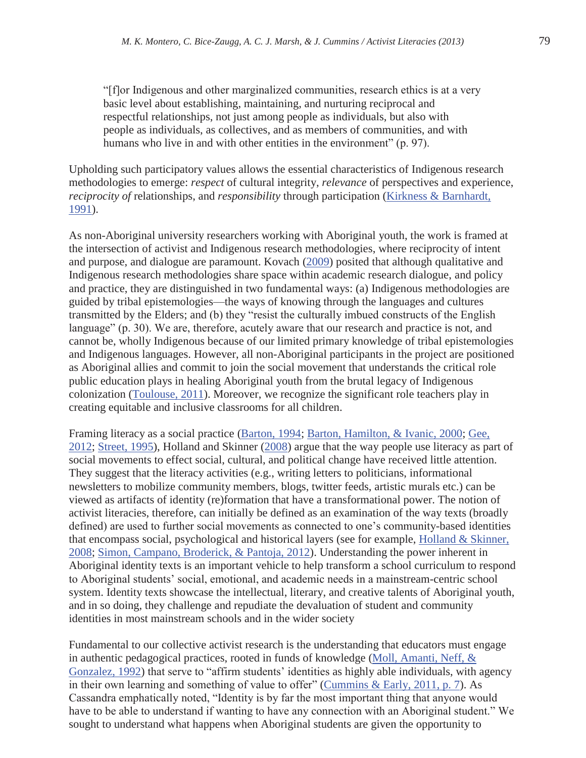"[f]or Indigenous and other marginalized communities, research ethics is at a very basic level about establishing, maintaining, and nurturing reciprocal and respectful relationships, not just among people as individuals, but also with people as individuals, as collectives, and as members of communities, and with humans who live in and with other entities in the environment" (p. 97).

Upholding such participatory values allows the essential characteristics of Indigenous research methodologies to emerge: *respect* of cultural integrity, *relevance* of perspectives and experience, *reciprocity of* relationships, and *responsibility* through participation (Kirkness & Barnhardt, 1991).

As non-Aboriginal university researchers working with Aboriginal youth, the work is framed at the intersection of activist and Indigenous research methodologies, where reciprocity of intent and purpose, and dialogue are paramount. Kovach (2009) posited that although qualitative and Indigenous research methodologies share space within academic research dialogue, and policy and practice, they are distinguished in two fundamental ways: (a) Indigenous methodologies are guided by tribal epistemologies—the ways of knowing through the languages and cultures transmitted by the Elders; and (b) they "resist the culturally imbued constructs of the English language" (p. 30). We are, therefore, acutely aware that our research and practice is not, and cannot be, wholly Indigenous because of our limited primary knowledge of tribal epistemologies and Indigenous languages. However, all non-Aboriginal participants in the project are positioned as Aboriginal allies and commit to join the social movement that understands the critical role public education plays in healing Aboriginal youth from the brutal legacy of Indigenous colonization (Toulouse, 2011). Moreover, we recognize the significant role teachers play in creating equitable and inclusive classrooms for all children.

Framing literacy as a social practice (Barton, 1994; Barton, Hamilton, & Ivanic, 2000; Gee, 2012; Street, 1995), Holland and Skinner (2008) argue that the way people use literacy as part of social movements to effect social, cultural, and political change have received little attention. They suggest that the literacy activities (e.g., writing letters to politicians, informational newsletters to mobilize community members, blogs, twitter feeds, artistic murals etc.) can be viewed as artifacts of identity (re)formation that have a transformational power. The notion of activist literacies, therefore, can initially be defined as an examination of the way texts (broadly defined) are used to further social movements as connected to one's community-based identities that encompass social, psychological and historical layers (see for example, Holland & Skinner, 2008; Simon, Campano, Broderick, & Pantoja, 2012). Understanding the power inherent in Aboriginal identity texts is an important vehicle to help transform a school curriculum to respond to Aboriginal students' social, emotional, and academic needs in a mainstream-centric school system. Identity texts showcase the intellectual, literary, and creative talents of Aboriginal youth, and in so doing, they challenge and repudiate the devaluation of student and community identities in most mainstream schools and in the wider society

Fundamental to our collective activist research is the understanding that educators must engage in authentic pedagogical practices, rooted in funds of knowledge (Moll, Amanti, Neff, & Gonzalez, 1992) that serve to "affirm students' identities as highly able individuals, with agency in their own learning and something of value to offer" (Cummins & Early, 2011, p. 7). As Cassandra emphatically noted, "Identity is by far the most important thing that anyone would have to be able to understand if wanting to have any connection with an Aboriginal student." We sought to understand what happens when Aboriginal students are given the opportunity to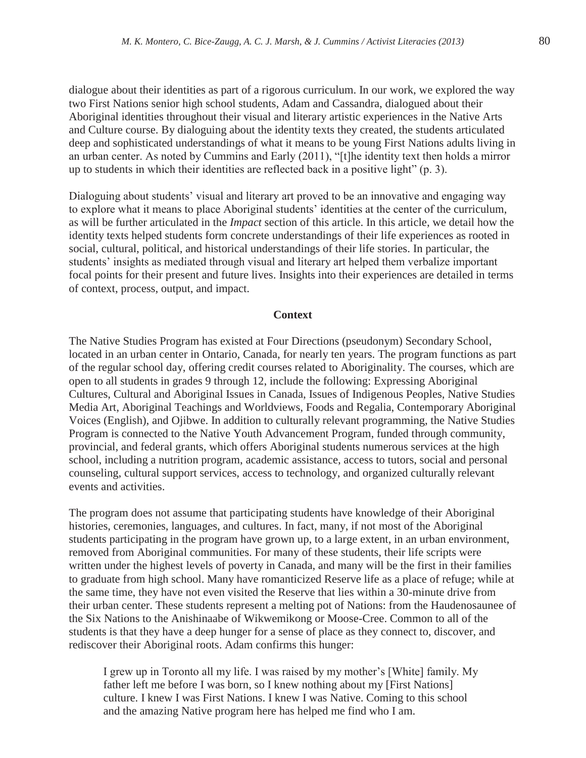dialogue about their identities as part of a rigorous curriculum. In our work, we explored the way two First Nations senior high school students, Adam and Cassandra, dialogued about their Aboriginal identities throughout their visual and literary artistic experiences in the Native Arts and Culture course. By dialoguing about the identity texts they created, the students articulated deep and sophisticated understandings of what it means to be young First Nations adults living in an urban center. As noted by Cummins and Early (2011), "[t]he identity text then holds a mirror up to students in which their identities are reflected back in a positive light" (p. 3).

Dialoguing about students' visual and literary art proved to be an innovative and engaging way to explore what it means to place Aboriginal students' identities at the center of the curriculum, as will be further articulated in the *Impact* section of this article. In this article, we detail how the identity texts helped students form concrete understandings of their life experiences as rooted in social, cultural, political, and historical understandings of their life stories. In particular, the students' insights as mediated through visual and literary art helped them verbalize important focal points for their present and future lives. Insights into their experiences are detailed in terms of context, process, output, and impact.

## **Context**

The Native Studies Program has existed at Four Directions (pseudonym) Secondary School, located in an urban center in Ontario, Canada, for nearly ten years. The program functions as part of the regular school day, offering credit courses related to Aboriginality. The courses, which are open to all students in grades 9 through 12, include the following: Expressing Aboriginal Cultures, Cultural and Aboriginal Issues in Canada, Issues of Indigenous Peoples, Native Studies Media Art, Aboriginal Teachings and Worldviews, Foods and Regalia, Contemporary Aboriginal Voices (English), and Ojibwe. In addition to culturally relevant programming, the Native Studies Program is connected to the Native Youth Advancement Program, funded through community, provincial, and federal grants, which offers Aboriginal students numerous services at the high school, including a nutrition program, academic assistance, access to tutors, social and personal counseling, cultural support services, access to technology, and organized culturally relevant events and activities.

The program does not assume that participating students have knowledge of their Aboriginal histories, ceremonies, languages, and cultures. In fact, many, if not most of the Aboriginal students participating in the program have grown up, to a large extent, in an urban environment, removed from Aboriginal communities. For many of these students, their life scripts were written under the highest levels of poverty in Canada, and many will be the first in their families to graduate from high school. Many have romanticized Reserve life as a place of refuge; while at the same time, they have not even visited the Reserve that lies within a 30-minute drive from their urban center. These students represent a melting pot of Nations: from the Haudenosaunee of the Six Nations to the Anishinaabe of Wikwemikong or Moose-Cree. Common to all of the students is that they have a deep hunger for a sense of place as they connect to, discover, and rediscover their Aboriginal roots. Adam confirms this hunger:

I grew up in Toronto all my life. I was raised by my mother's [White] family. My father left me before I was born, so I knew nothing about my [First Nations] culture. I knew I was First Nations. I knew I was Native. Coming to this school and the amazing Native program here has helped me find who I am.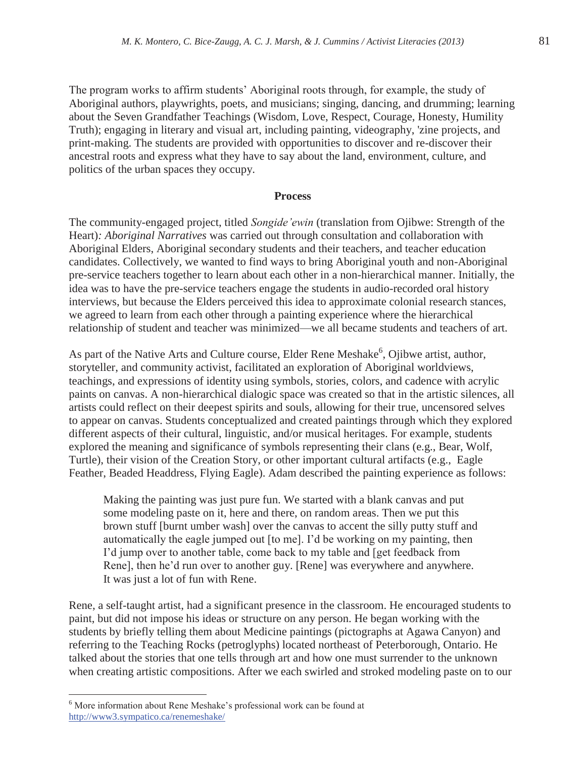The program works to affirm students' Aboriginal roots through, for example, the study of Aboriginal authors, playwrights, poets, and musicians; singing, dancing, and drumming; learning about the Seven Grandfather Teachings (Wisdom, Love, Respect, Courage, Honesty, Humility Truth); engaging in literary and visual art, including painting, videography, 'zine projects, and print-making. The students are provided with opportunities to discover and re-discover their ancestral roots and express what they have to say about the land, environment, culture, and politics of the urban spaces they occupy.

#### **Process**

The community-engaged project, titled *Songide'ewin* (translation from Ojibwe: Strength of the Heart)*: Aboriginal Narratives* was carried out through consultation and collaboration with Aboriginal Elders, Aboriginal secondary students and their teachers, and teacher education candidates. Collectively, we wanted to find ways to bring Aboriginal youth and non-Aboriginal pre-service teachers together to learn about each other in a non-hierarchical manner. Initially, the idea was to have the pre-service teachers engage the students in audio-recorded oral history interviews, but because the Elders perceived this idea to approximate colonial research stances, we agreed to learn from each other through a painting experience where the hierarchical relationship of student and teacher was minimized—we all became students and teachers of art.

As part of the Native Arts and Culture course, Elder Rene Meshake<sup>6</sup>, Ojibwe artist, author, storyteller, and community activist, facilitated an exploration of Aboriginal worldviews, teachings, and expressions of identity using symbols, stories, colors, and cadence with acrylic paints on canvas. A non-hierarchical dialogic space was created so that in the artistic silences, all artists could reflect on their deepest spirits and souls, allowing for their true, uncensored selves to appear on canvas. Students conceptualized and created paintings through which they explored different aspects of their cultural, linguistic, and/or musical heritages. For example, students explored the meaning and significance of symbols representing their clans (e.g., Bear, Wolf, Turtle), their vision of the Creation Story, or other important cultural artifacts (e.g., Eagle Feather, Beaded Headdress, Flying Eagle). Adam described the painting experience as follows:

Making the painting was just pure fun. We started with a blank canvas and put some modeling paste on it, here and there, on random areas. Then we put this brown stuff [burnt umber wash] over the canvas to accent the silly putty stuff and automatically the eagle jumped out [to me]. I'd be working on my painting, then I'd jump over to another table, come back to my table and [get feedback from Rene], then he'd run over to another guy. [Rene] was everywhere and anywhere. It was just a lot of fun with Rene.

Rene, a self-taught artist, had a significant presence in the classroom. He encouraged students to paint, but did not impose his ideas or structure on any person. He began working with the students by briefly telling them about Medicine paintings (pictographs at Agawa Canyon) and referring to the Teaching Rocks (petroglyphs) located northeast of Peterborough, Ontario. He talked about the stories that one tells through art and how one must surrender to the unknown when creating artistic compositions. After we each swirled and stroked modeling paste on to our

 $\overline{a}$ 

<sup>6</sup> More information about Rene Meshake's professional work can be found at http://www3.sympatico.ca/renemeshake/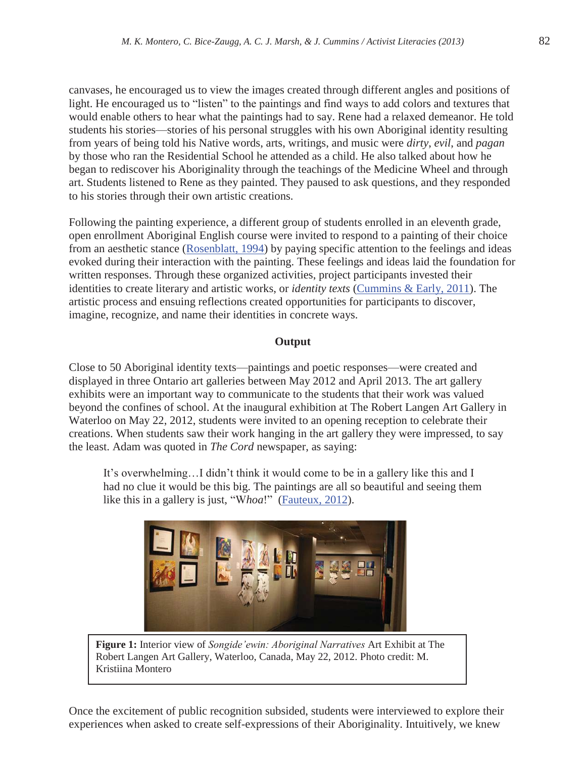canvases, he encouraged us to view the images created through different angles and positions of light. He encouraged us to "listen" to the paintings and find ways to add colors and textures that would enable others to hear what the paintings had to say. Rene had a relaxed demeanor. He told students his stories—stories of his personal struggles with his own Aboriginal identity resulting from years of being told his Native words, arts, writings, and music were *dirty*, *evil*, and *pagan* by those who ran the Residential School he attended as a child. He also talked about how he began to rediscover his Aboriginality through the teachings of the Medicine Wheel and through art. Students listened to Rene as they painted. They paused to ask questions, and they responded to his stories through their own artistic creations.

Following the painting experience, a different group of students enrolled in an eleventh grade, open enrollment Aboriginal English course were invited to respond to a painting of their choice from an aesthetic stance (Rosenblatt, 1994) by paying specific attention to the feelings and ideas evoked during their interaction with the painting. These feelings and ideas laid the foundation for written responses. Through these organized activities, project participants invested their identities to create literary and artistic works, or *identity texts* (Cummins & Early, 2011). The artistic process and ensuing reflections created opportunities for participants to discover, imagine, recognize, and name their identities in concrete ways.

## **Output**

Close to 50 Aboriginal identity texts—paintings and poetic responses—were created and displayed in three Ontario art galleries between May 2012 and April 2013. The art gallery exhibits were an important way to communicate to the students that their work was valued beyond the confines of school. At the inaugural exhibition at The Robert Langen Art Gallery in Waterloo on May 22, 2012, students were invited to an opening reception to celebrate their creations. When students saw their work hanging in the art gallery they were impressed, to say the least. Adam was quoted in *The Cord* newspaper, as saying:

It's overwhelming…I didn't think it would come to be in a gallery like this and I had no clue it would be this big. The paintings are all so beautiful and seeing them like this in a gallery is just, "W*hoa*!" (Fauteux, 2012).



**Figure 1:** Interior view of *Songide'ewin: Aboriginal Narratives* Art Exhibit at The Robert Langen Art Gallery, Waterloo, Canada, May 22, 2012. Photo credit: M. Kristiina Montero

Once the excitement of public recognition subsided, students were interviewed to explore their experiences when asked to create self-expressions of their Aboriginality. Intuitively, we knew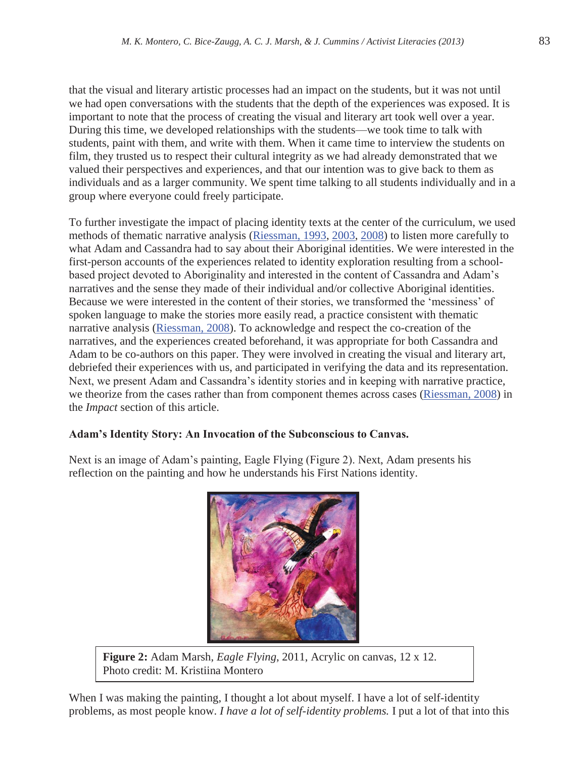that the visual and literary artistic processes had an impact on the students, but it was not until we had open conversations with the students that the depth of the experiences was exposed. It is important to note that the process of creating the visual and literary art took well over a year. During this time, we developed relationships with the students—we took time to talk with students, paint with them, and write with them. When it came time to interview the students on film, they trusted us to respect their cultural integrity as we had already demonstrated that we valued their perspectives and experiences, and that our intention was to give back to them as individuals and as a larger community. We spent time talking to all students individually and in a group where everyone could freely participate.

To further investigate the impact of placing identity texts at the center of the curriculum, we used methods of thematic narrative analysis (Riessman, 1993, 2003, 2008) to listen more carefully to what Adam and Cassandra had to say about their Aboriginal identities. We were interested in the first-person accounts of the experiences related to identity exploration resulting from a schoolbased project devoted to Aboriginality and interested in the content of Cassandra and Adam's narratives and the sense they made of their individual and/or collective Aboriginal identities. Because we were interested in the content of their stories, we transformed the 'messiness' of spoken language to make the stories more easily read, a practice consistent with thematic narrative analysis (Riessman, 2008). To acknowledge and respect the co-creation of the narratives, and the experiences created beforehand, it was appropriate for both Cassandra and Adam to be co-authors on this paper. They were involved in creating the visual and literary art, debriefed their experiences with us, and participated in verifying the data and its representation. Next, we present Adam and Cassandra's identity stories and in keeping with narrative practice, we theorize from the cases rather than from component themes across cases (Riessman, 2008) in the *Impact* section of this article.

## **Adam's Identity Story: An Invocation of the Subconscious to Canvas.**

Next is an image of Adam's painting, Eagle Flying (Figure 2). Next, Adam presents his reflection on the painting and how he understands his First Nations identity.



**Figure 2:** Adam Marsh, *Eagle Flying*, 2011, Acrylic on canvas, 12 x 12. Photo credit: M. Kristiina Montero

When I was making the painting, I thought a lot about myself. I have a lot of self-identity problems, as most people know. *I have a lot of self-identity problems.* I put a lot of that into this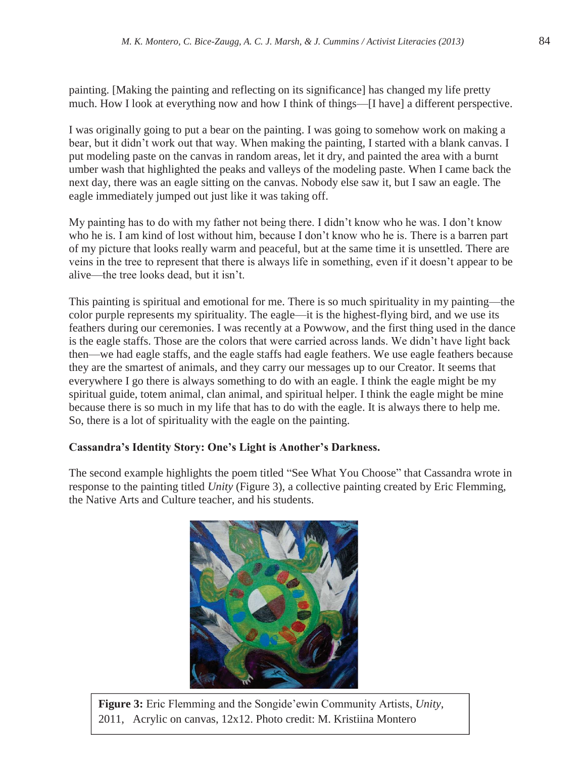painting. [Making the painting and reflecting on its significance] has changed my life pretty much. How I look at everything now and how I think of things—[I have] a different perspective.

I was originally going to put a bear on the painting. I was going to somehow work on making a bear, but it didn't work out that way. When making the painting, I started with a blank canvas. I put modeling paste on the canvas in random areas, let it dry, and painted the area with a burnt umber wash that highlighted the peaks and valleys of the modeling paste. When I came back the next day, there was an eagle sitting on the canvas. Nobody else saw it, but I saw an eagle. The eagle immediately jumped out just like it was taking off.

My painting has to do with my father not being there. I didn't know who he was. I don't know who he is. I am kind of lost without him, because I don't know who he is. There is a barren part of my picture that looks really warm and peaceful, but at the same time it is unsettled. There are veins in the tree to represent that there is always life in something, even if it doesn't appear to be alive—the tree looks dead, but it isn't.

This painting is spiritual and emotional for me. There is so much spirituality in my painting—the color purple represents my spirituality. The eagle—it is the highest-flying bird, and we use its feathers during our ceremonies. I was recently at a Powwow, and the first thing used in the dance is the eagle staffs. Those are the colors that were carried across lands. We didn't have light back then—we had eagle staffs, and the eagle staffs had eagle feathers. We use eagle feathers because they are the smartest of animals, and they carry our messages up to our Creator. It seems that everywhere I go there is always something to do with an eagle. I think the eagle might be my spiritual guide, totem animal, clan animal, and spiritual helper. I think the eagle might be mine because there is so much in my life that has to do with the eagle. It is always there to help me. So, there is a lot of spirituality with the eagle on the painting.

## **Cassandra's Identity Story: One's Light is Another's Darkness.**

The second example highlights the poem titled "See What You Choose" that Cassandra wrote in response to the painting titled *Unity* (Figure 3), a collective painting created by Eric Flemming, the Native Arts and Culture teacher, and his students.



**Figure 3:** Eric Flemming and the Songide'ewin Community Artists, *Unity*, 2011, Acrylic on canvas, 12x12. Photo credit: M. Kristiina Montero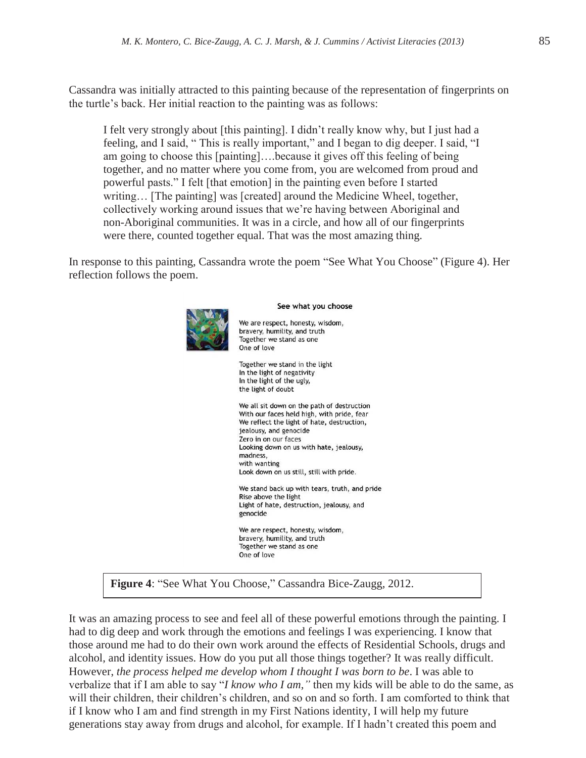Cassandra was initially attracted to this painting because of the representation of fingerprints on the turtle's back. Her initial reaction to the painting was as follows:

I felt very strongly about [this painting]. I didn't really know why, but I just had a feeling, and I said, " This is really important," and I began to dig deeper. I said, "I am going to choose this [painting]….because it gives off this feeling of being together, and no matter where you come from, you are welcomed from proud and powerful pasts." I felt [that emotion] in the painting even before I started writing... [The painting] was [created] around the Medicine Wheel, together, collectively working around issues that we're having between Aboriginal and non-Aboriginal communities. It was in a circle, and how all of our fingerprints were there, counted together equal. That was the most amazing thing.

In response to this painting, Cassandra wrote the poem "See What You Choose" (Figure 4). Her reflection follows the poem.



**Figure 4**: "See What You Choose," Cassandra Bice-Zaugg, 2012.

It was an amazing process to see and feel all of these powerful emotions through the painting. I had to dig deep and work through the emotions and feelings I was experiencing. I know that those around me had to do their own work around the effects of Residential Schools, drugs and alcohol, and identity issues. How do you put all those things together? It was really difficult. However, *the process helped me develop whom I thought I was born to be*. I was able to verbalize that if I am able to say "*I know who I am,"* then my kids will be able to do the same, as will their children, their children's children, and so on and so forth. I am comforted to think that if I know who I am and find strength in my First Nations identity, I will help my future generations stay away from drugs and alcohol, for example. If I hadn't created this poem and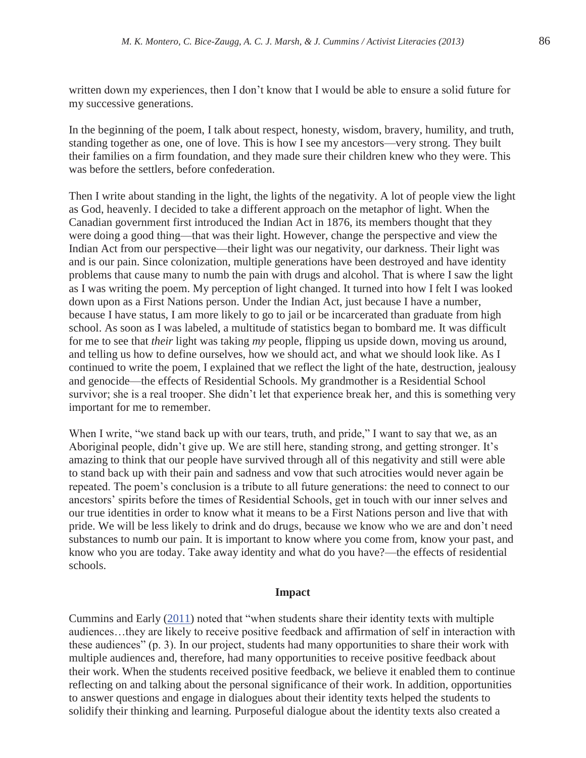written down my experiences, then I don't know that I would be able to ensure a solid future for my successive generations.

In the beginning of the poem, I talk about respect, honesty, wisdom, bravery, humility, and truth, standing together as one, one of love. This is how I see my ancestors—very strong. They built their families on a firm foundation, and they made sure their children knew who they were. This was before the settlers, before confederation.

Then I write about standing in the light, the lights of the negativity. A lot of people view the light as God, heavenly. I decided to take a different approach on the metaphor of light. When the Canadian government first introduced the Indian Act in 1876, its members thought that they were doing a good thing—that was their light. However, change the perspective and view the Indian Act from our perspective—their light was our negativity, our darkness. Their light was and is our pain. Since colonization, multiple generations have been destroyed and have identity problems that cause many to numb the pain with drugs and alcohol. That is where I saw the light as I was writing the poem. My perception of light changed. It turned into how I felt I was looked down upon as a First Nations person. Under the Indian Act, just because I have a number, because I have status, I am more likely to go to jail or be incarcerated than graduate from high school. As soon as I was labeled, a multitude of statistics began to bombard me. It was difficult for me to see that *their* light was taking *my* people, flipping us upside down, moving us around, and telling us how to define ourselves, how we should act, and what we should look like. As I continued to write the poem, I explained that we reflect the light of the hate, destruction, jealousy and genocide—the effects of Residential Schools. My grandmother is a Residential School survivor; she is a real trooper. She didn't let that experience break her, and this is something very important for me to remember.

When I write, "we stand back up with our tears, truth, and pride," I want to say that we, as an Aboriginal people, didn't give up. We are still here, standing strong, and getting stronger. It's amazing to think that our people have survived through all of this negativity and still were able to stand back up with their pain and sadness and vow that such atrocities would never again be repeated. The poem's conclusion is a tribute to all future generations: the need to connect to our ancestors' spirits before the times of Residential Schools, get in touch with our inner selves and our true identities in order to know what it means to be a First Nations person and live that with pride. We will be less likely to drink and do drugs, because we know who we are and don't need substances to numb our pain. It is important to know where you come from, know your past, and know who you are today. Take away identity and what do you have?—the effects of residential schools.

#### **Impact**

Cummins and Early (2011) noted that "when students share their identity texts with multiple audiences…they are likely to receive positive feedback and affirmation of self in interaction with these audiences" (p. 3). In our project, students had many opportunities to share their work with multiple audiences and, therefore, had many opportunities to receive positive feedback about their work. When the students received positive feedback, we believe it enabled them to continue reflecting on and talking about the personal significance of their work. In addition, opportunities to answer questions and engage in dialogues about their identity texts helped the students to solidify their thinking and learning. Purposeful dialogue about the identity texts also created a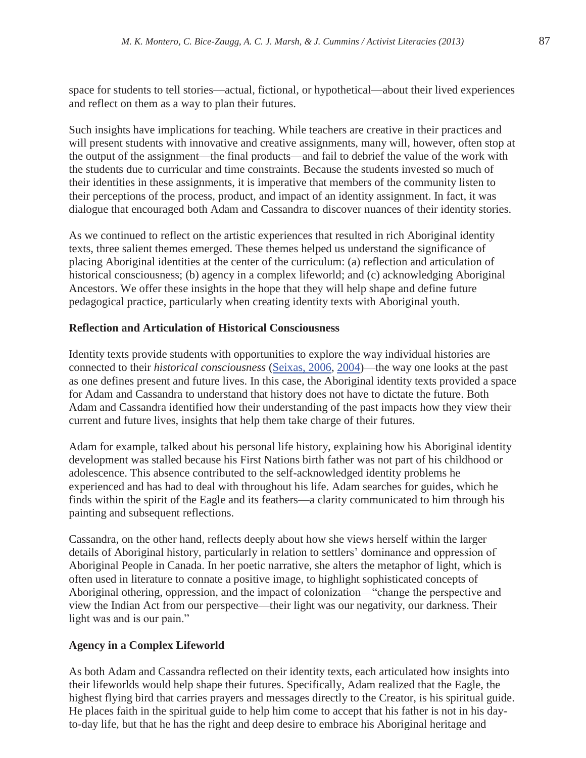space for students to tell stories—actual, fictional, or hypothetical—about their lived experiences and reflect on them as a way to plan their futures.

Such insights have implications for teaching. While teachers are creative in their practices and will present students with innovative and creative assignments, many will, however, often stop at the output of the assignment—the final products—and fail to debrief the value of the work with the students due to curricular and time constraints. Because the students invested so much of their identities in these assignments, it is imperative that members of the community listen to their perceptions of the process, product, and impact of an identity assignment. In fact, it was dialogue that encouraged both Adam and Cassandra to discover nuances of their identity stories.

As we continued to reflect on the artistic experiences that resulted in rich Aboriginal identity texts, three salient themes emerged. These themes helped us understand the significance of placing Aboriginal identities at the center of the curriculum: (a) reflection and articulation of historical consciousness; (b) agency in a complex lifeworld; and (c) acknowledging Aboriginal Ancestors. We offer these insights in the hope that they will help shape and define future pedagogical practice, particularly when creating identity texts with Aboriginal youth.

## **Reflection and Articulation of Historical Consciousness**

Identity texts provide students with opportunities to explore the way individual histories are connected to their *historical consciousness* (Seixas, 2006, 2004)—the way one looks at the past as one defines present and future lives. In this case, the Aboriginal identity texts provided a space for Adam and Cassandra to understand that history does not have to dictate the future. Both Adam and Cassandra identified how their understanding of the past impacts how they view their current and future lives, insights that help them take charge of their futures.

Adam for example, talked about his personal life history, explaining how his Aboriginal identity development was stalled because his First Nations birth father was not part of his childhood or adolescence. This absence contributed to the self-acknowledged identity problems he experienced and has had to deal with throughout his life. Adam searches for guides, which he finds within the spirit of the Eagle and its feathers—a clarity communicated to him through his painting and subsequent reflections.

Cassandra, on the other hand, reflects deeply about how she views herself within the larger details of Aboriginal history, particularly in relation to settlers' dominance and oppression of Aboriginal People in Canada. In her poetic narrative, she alters the metaphor of light, which is often used in literature to connate a positive image, to highlight sophisticated concepts of Aboriginal othering, oppression, and the impact of colonization—"change the perspective and view the Indian Act from our perspective—their light was our negativity, our darkness. Their light was and is our pain."

## **Agency in a Complex Lifeworld**

As both Adam and Cassandra reflected on their identity texts, each articulated how insights into their lifeworlds would help shape their futures. Specifically, Adam realized that the Eagle, the highest flying bird that carries prayers and messages directly to the Creator, is his spiritual guide. He places faith in the spiritual guide to help him come to accept that his father is not in his dayto-day life, but that he has the right and deep desire to embrace his Aboriginal heritage and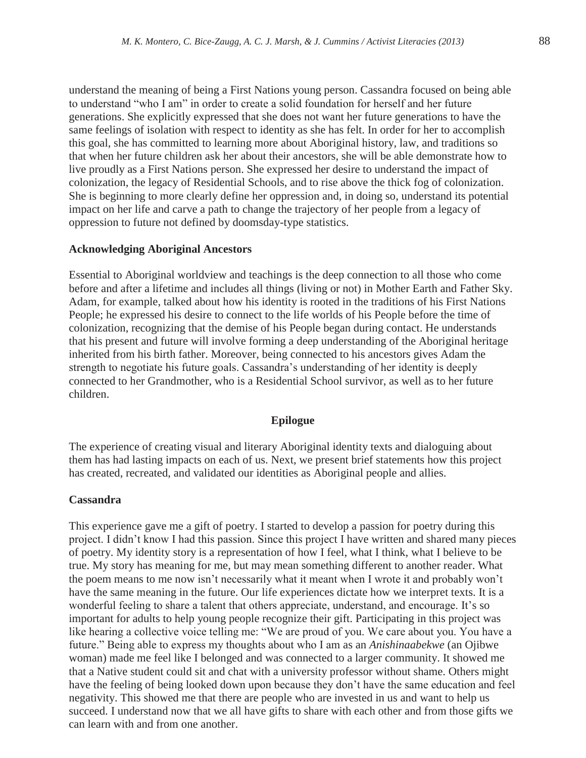understand the meaning of being a First Nations young person. Cassandra focused on being able to understand "who I am" in order to create a solid foundation for herself and her future generations. She explicitly expressed that she does not want her future generations to have the same feelings of isolation with respect to identity as she has felt. In order for her to accomplish this goal, she has committed to learning more about Aboriginal history, law, and traditions so that when her future children ask her about their ancestors, she will be able demonstrate how to live proudly as a First Nations person. She expressed her desire to understand the impact of colonization, the legacy of Residential Schools, and to rise above the thick fog of colonization. She is beginning to more clearly define her oppression and, in doing so, understand its potential impact on her life and carve a path to change the trajectory of her people from a legacy of oppression to future not defined by doomsday-type statistics.

#### **Acknowledging Aboriginal Ancestors**

Essential to Aboriginal worldview and teachings is the deep connection to all those who come before and after a lifetime and includes all things (living or not) in Mother Earth and Father Sky. Adam, for example, talked about how his identity is rooted in the traditions of his First Nations People; he expressed his desire to connect to the life worlds of his People before the time of colonization, recognizing that the demise of his People began during contact. He understands that his present and future will involve forming a deep understanding of the Aboriginal heritage inherited from his birth father. Moreover, being connected to his ancestors gives Adam the strength to negotiate his future goals. Cassandra's understanding of her identity is deeply connected to her Grandmother, who is a Residential School survivor, as well as to her future children.

## **Epilogue**

The experience of creating visual and literary Aboriginal identity texts and dialoguing about them has had lasting impacts on each of us. Next, we present brief statements how this project has created, recreated, and validated our identities as Aboriginal people and allies.

#### **Cassandra**

This experience gave me a gift of poetry. I started to develop a passion for poetry during this project. I didn't know I had this passion. Since this project I have written and shared many pieces of poetry. My identity story is a representation of how I feel, what I think, what I believe to be true. My story has meaning for me, but may mean something different to another reader. What the poem means to me now isn't necessarily what it meant when I wrote it and probably won't have the same meaning in the future. Our life experiences dictate how we interpret texts. It is a wonderful feeling to share a talent that others appreciate, understand, and encourage. It's so important for adults to help young people recognize their gift. Participating in this project was like hearing a collective voice telling me: "We are proud of you. We care about you. You have a future." Being able to express my thoughts about who I am as an *Anishinaabekwe* (an Ojibwe woman) made me feel like I belonged and was connected to a larger community. It showed me that a Native student could sit and chat with a university professor without shame. Others might have the feeling of being looked down upon because they don't have the same education and feel negativity. This showed me that there are people who are invested in us and want to help us succeed. I understand now that we all have gifts to share with each other and from those gifts we can learn with and from one another.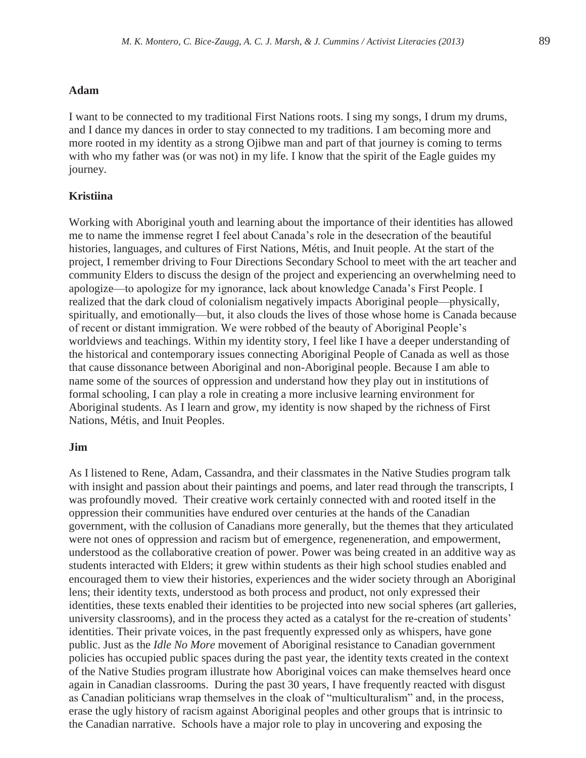## **Adam**

I want to be connected to my traditional First Nations roots. I sing my songs, I drum my drums, and I dance my dances in order to stay connected to my traditions. I am becoming more and more rooted in my identity as a strong Ojibwe man and part of that journey is coming to terms with who my father was (or was not) in my life. I know that the spirit of the Eagle guides my journey.

## **Kristiina**

Working with Aboriginal youth and learning about the importance of their identities has allowed me to name the immense regret I feel about Canada's role in the desecration of the beautiful histories, languages, and cultures of First Nations, Métis, and Inuit people. At the start of the project, I remember driving to Four Directions Secondary School to meet with the art teacher and community Elders to discuss the design of the project and experiencing an overwhelming need to apologize—to apologize for my ignorance, lack about knowledge Canada's First People. I realized that the dark cloud of colonialism negatively impacts Aboriginal people—physically, spiritually, and emotionally—but, it also clouds the lives of those whose home is Canada because of recent or distant immigration. We were robbed of the beauty of Aboriginal People's worldviews and teachings. Within my identity story, I feel like I have a deeper understanding of the historical and contemporary issues connecting Aboriginal People of Canada as well as those that cause dissonance between Aboriginal and non-Aboriginal people. Because I am able to name some of the sources of oppression and understand how they play out in institutions of formal schooling, I can play a role in creating a more inclusive learning environment for Aboriginal students. As I learn and grow, my identity is now shaped by the richness of First Nations, Métis, and Inuit Peoples.

#### **Jim**

As I listened to Rene, Adam, Cassandra, and their classmates in the Native Studies program talk with insight and passion about their paintings and poems, and later read through the transcripts, I was profoundly moved. Their creative work certainly connected with and rooted itself in the oppression their communities have endured over centuries at the hands of the Canadian government, with the collusion of Canadians more generally, but the themes that they articulated were not ones of oppression and racism but of emergence, regeneneration, and empowerment, understood as the collaborative creation of power. Power was being created in an additive way as students interacted with Elders; it grew within students as their high school studies enabled and encouraged them to view their histories, experiences and the wider society through an Aboriginal lens; their identity texts, understood as both process and product, not only expressed their identities, these texts enabled their identities to be projected into new social spheres (art galleries, university classrooms), and in the process they acted as a catalyst for the re-creation of students' identities. Their private voices, in the past frequently expressed only as whispers, have gone public. Just as the *Idle No More* movement of Aboriginal resistance to Canadian government policies has occupied public spaces during the past year, the identity texts created in the context of the Native Studies program illustrate how Aboriginal voices can make themselves heard once again in Canadian classrooms. During the past 30 years, I have frequently reacted with disgust as Canadian politicians wrap themselves in the cloak of "multiculturalism" and, in the process, erase the ugly history of racism against Aboriginal peoples and other groups that is intrinsic to the Canadian narrative. Schools have a major role to play in uncovering and exposing the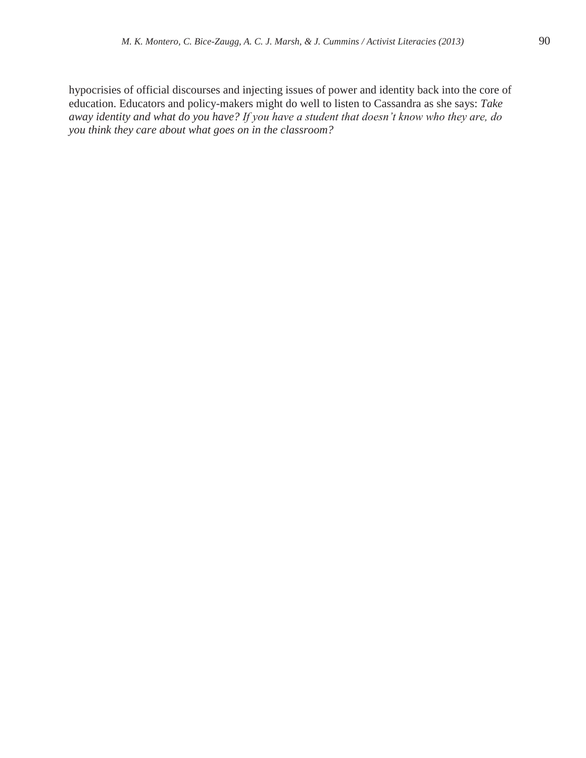hypocrisies of official discourses and injecting issues of power and identity back into the core of education. Educators and policy-makers might do well to listen to Cassandra as she says: *Take away identity and what do you have? If you have a student that doesn't know who they are, do you think they care about what goes on in the classroom?*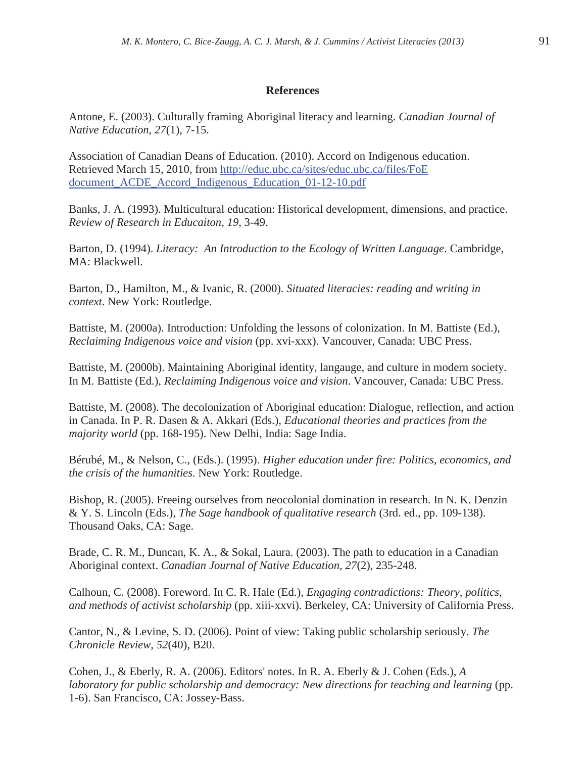## **References**

Antone, E. (2003). Culturally framing Aboriginal literacy and learning. *Canadian Journal of Native Education, 27*(1), 7-15.

Association of Canadian Deans of Education. (2010). Accord on Indigenous education. Retrieved March 15, 2010, from http://educ.ubc.ca/sites/educ.ubc.ca/files/FoE document\_ACDE\_Accord\_Indigenous\_Education\_01-12-10.pdf

Banks, J. A. (1993). Multicultural education: Historical development, dimensions, and practice. *Review of Research in Educaiton, 19*, 3-49.

Barton, D. (1994). *Literacy: An Introduction to the Ecology of Written Language*. Cambridge, MA: Blackwell.

Barton, D., Hamilton, M., & Ivanic, R. (2000). *Situated literacies: reading and writing in context*. New York: Routledge.

Battiste, M. (2000a). Introduction: Unfolding the lessons of colonization. In M. Battiste (Ed.), *Reclaiming Indigenous voice and vision* (pp. xvi-xxx). Vancouver, Canada: UBC Press.

Battiste, M. (2000b). Maintaining Aboriginal identity, langauge, and culture in modern society. In M. Battiste (Ed.), *Reclaiming Indigenous voice and vision*. Vancouver, Canada: UBC Press.

Battiste, M. (2008). The decolonization of Aboriginal education: Dialogue, reflection, and action in Canada. In P. R. Dasen & A. Akkari (Eds.), *Educational theories and practices from the majority world* (pp. 168-195). New Delhi, India: Sage India.

Bérubé, M., & Nelson, C., (Eds.). (1995). *Higher education under fire: Politics, economics, and the crisis of the humanities*. New York: Routledge.

Bishop, R. (2005). Freeing ourselves from neocolonial domination in research. In N. K. Denzin & Y. S. Lincoln (Eds.), *The Sage handbook of qualitative research* (3rd. ed., pp. 109-138). Thousand Oaks, CA: Sage.

Brade, C. R. M., Duncan, K. A., & Sokal, Laura. (2003). The path to education in a Canadian Aboriginal context. *Canadian Journal of Native Education, 27*(2), 235-248.

Calhoun, C. (2008). Foreword. In C. R. Hale (Ed.), *Engaging contradictions: Theory, politics, and methods of activist scholarship* (pp. xiii-xxvi). Berkeley, CA: University of California Press.

Cantor, N., & Levine, S. D. (2006). Point of view: Taking public scholarship seriously. *The Chronicle Review, 52*(40), B20.

Cohen, J., & Eberly, R. A. (2006). Editors' notes. In R. A. Eberly & J. Cohen (Eds.), *A laboratory for public scholarship and democracy: New directions for teaching and learning* (pp. 1-6). San Francisco, CA: Jossey-Bass.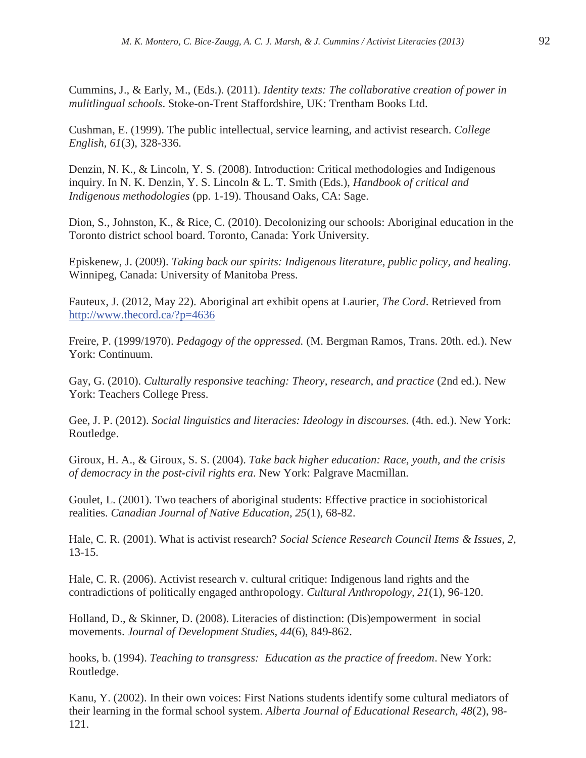Cummins, J., & Early, M., (Eds.). (2011). *Identity texts: The collaborative creation of power in mulitlingual schools*. Stoke-on-Trent Staffordshire, UK: Trentham Books Ltd.

Cushman, E. (1999). The public intellectual, service learning, and activist research. *College English, 61*(3), 328-336.

Denzin, N. K., & Lincoln, Y. S. (2008). Introduction: Critical methodologies and Indigenous inquiry. In N. K. Denzin, Y. S. Lincoln & L. T. Smith (Eds.), *Handbook of critical and Indigenous methodologies* (pp. 1-19). Thousand Oaks, CA: Sage.

Dion, S., Johnston, K., & Rice, C. (2010). Decolonizing our schools: Aboriginal education in the Toronto district school board. Toronto, Canada: York University.

Episkenew, J. (2009). *Taking back our spirits: Indigenous literature, public policy, and healing*. Winnipeg, Canada: University of Manitoba Press.

Fauteux, J. (2012, May 22). Aboriginal art exhibit opens at Laurier, *The Cord*. Retrieved from http://www.thecord.ca/?p=4636

Freire, P. (1999/1970). *Pedagogy of the oppressed.* (M. Bergman Ramos, Trans. 20th. ed.). New York: Continuum.

Gay, G. (2010). *Culturally responsive teaching: Theory, research, and practice* (2nd ed.). New York: Teachers College Press.

Gee, J. P. (2012). *Social linguistics and literacies: Ideology in discourses.* (4th. ed.). New York: Routledge.

Giroux, H. A., & Giroux, S. S. (2004). *Take back higher education: Race, youth, and the crisis of democracy in the post-civil rights era*. New York: Palgrave Macmillan.

Goulet, L. (2001). Two teachers of aboriginal students: Effective practice in sociohistorical realities. *Canadian Journal of Native Education, 25*(1), 68-82.

Hale, C. R. (2001). What is activist research? *Social Science Research Council Items & Issues, 2,* 13-15.

Hale, C. R. (2006). Activist research v. cultural critique: Indigenous land rights and the contradictions of politically engaged anthropology. *Cultural Anthropology, 21*(1), 96-120.

Holland, D., & Skinner, D. (2008). Literacies of distinction: (Dis)empowerment in social movements. *Journal of Development Studies, 44*(6), 849-862.

hooks, b. (1994). *Teaching to transgress: Education as the practice of freedom*. New York: Routledge.

Kanu, Y. (2002). In their own voices: First Nations students identify some cultural mediators of their learning in the formal school system. *Alberta Journal of Educational Research, 48*(2), 98- 121.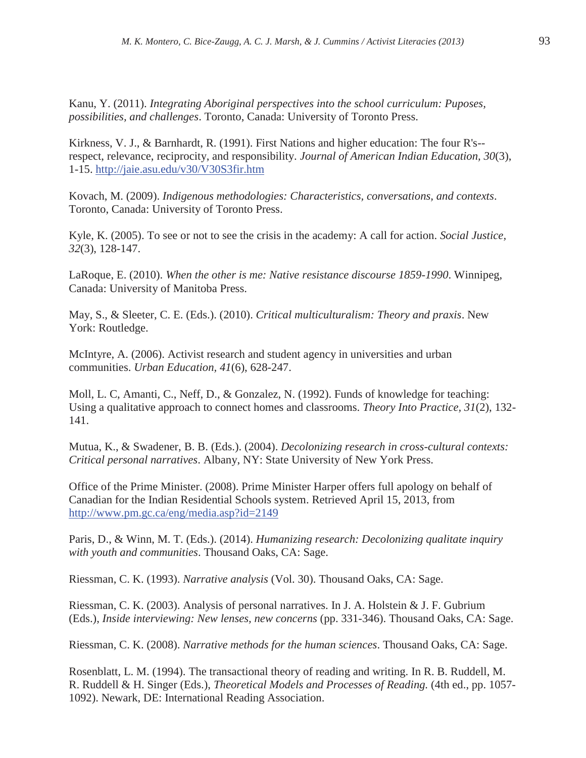Kanu, Y. (2011). *Integrating Aboriginal perspectives into the school curriculum: Puposes, possibilities, and challenges*. Toronto, Canada: University of Toronto Press.

Kirkness, V. J., & Barnhardt, R. (1991). First Nations and higher education: The four R's- respect, relevance, reciprocity, and responsibility. *Journal of American Indian Education, 30*(3), 1-15. http://jaie.asu.edu/v30/V30S3fir.htm

Kovach, M. (2009). *Indigenous methodologies: Characteristics, conversations, and contexts*. Toronto, Canada: University of Toronto Press.

Kyle, K. (2005). To see or not to see the crisis in the academy: A call for action. *Social Justice, 32*(3), 128-147.

LaRoque, E. (2010). *When the other is me: Native resistance discourse 1859-1990*. Winnipeg, Canada: University of Manitoba Press.

May, S., & Sleeter, C. E. (Eds.). (2010). *Critical multiculturalism: Theory and praxis*. New York: Routledge.

McIntyre, A. (2006). Activist research and student agency in universities and urban communities. *Urban Education, 41*(6), 628-247.

Moll, L. C, Amanti, C., Neff, D., & Gonzalez, N. (1992). Funds of knowledge for teaching: Using a qualitative approach to connect homes and classrooms. *Theory Into Practice, 31*(2), 132- 141.

Mutua, K., & Swadener, B. B. (Eds.). (2004). *Decolonizing research in cross-cultural contexts: Critical personal narratives*. Albany, NY: State University of New York Press.

Office of the Prime Minister. (2008). Prime Minister Harper offers full apology on behalf of Canadian for the Indian Residential Schools system. Retrieved April 15, 2013, from http://www.pm.gc.ca/eng/media.asp?id=2149

Paris, D., & Winn, M. T. (Eds.). (2014). *Humanizing research: Decolonizing qualitate inquiry with youth and communities*. Thousand Oaks, CA: Sage.

Riessman, C. K. (1993). *Narrative analysis* (Vol. 30). Thousand Oaks, CA: Sage.

Riessman, C. K. (2003). Analysis of personal narratives. In J. A. Holstein & J. F. Gubrium (Eds.), *Inside interviewing: New lenses, new concerns* (pp. 331-346). Thousand Oaks, CA: Sage.

Riessman, C. K. (2008). *Narrative methods for the human sciences*. Thousand Oaks, CA: Sage.

Rosenblatt, L. M. (1994). The transactional theory of reading and writing. In R. B. Ruddell, M. R. Ruddell & H. Singer (Eds.), *Theoretical Models and Processes of Reading.* (4th ed., pp. 1057- 1092). Newark, DE: International Reading Association.